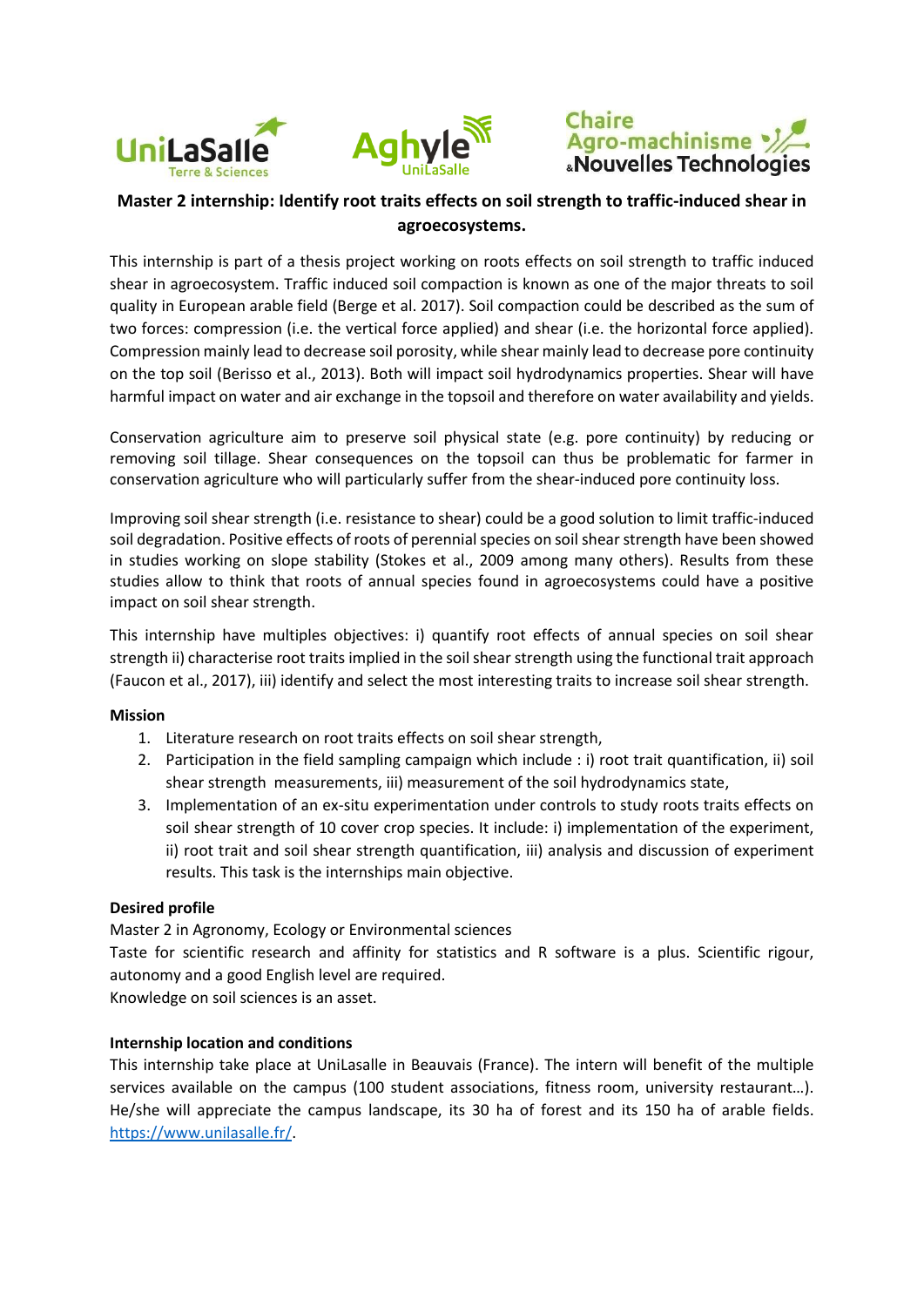





# **Master 2 internship: Identify root traits effects on soil strength to traffic-induced shear in agroecosystems.**

This internship is part of a thesis project working on roots effects on soil strength to traffic induced shear in agroecosystem. Traffic induced soil compaction is known as one of the major threats to soil quality in European arable field (Berge et al. 2017). Soil compaction could be described as the sum of two forces: compression (i.e. the vertical force applied) and shear (i.e. the horizontal force applied). Compression mainly lead to decrease soil porosity, while shear mainly lead to decrease pore continuity on the top soil (Berisso et al., 2013). Both will impact soil hydrodynamics properties. Shear will have harmful impact on water and air exchange in the topsoil and therefore on water availability and yields.

Conservation agriculture aim to preserve soil physical state (e.g. pore continuity) by reducing or removing soil tillage. Shear consequences on the topsoil can thus be problematic for farmer in conservation agriculture who will particularly suffer from the shear-induced pore continuity loss.

Improving soil shear strength (i.e. resistance to shear) could be a good solution to limit traffic-induced soil degradation. Positive effects of roots of perennial species on soil shear strength have been showed in studies working on slope stability (Stokes et al., 2009 among many others). Results from these studies allow to think that roots of annual species found in agroecosystems could have a positive impact on soil shear strength.

This internship have multiples objectives: i) quantify root effects of annual species on soil shear strength ii) characterise root traits implied in the soil shear strength using the functional trait approach (Faucon et al., 2017), iii) identify and select the most interesting traits to increase soil shear strength.

## **Mission**

- 1. Literature research on root traits effects on soil shear strength,
- 2. Participation in the field sampling campaign which include : i) root trait quantification, ii) soil shear strength measurements, iii) measurement of the soil hydrodynamics state,
- 3. Implementation of an ex-situ experimentation under controls to study roots traits effects on soil shear strength of 10 cover crop species. It include: i) implementation of the experiment, ii) root trait and soil shear strength quantification, iii) analysis and discussion of experiment results. This task is the internships main objective.

## **Desired profile**

Master 2 in Agronomy, Ecology or Environmental sciences

Taste for scientific research and affinity for statistics and R software is a plus. Scientific rigour, autonomy and a good English level are required.

Knowledge on soil sciences is an asset.

## **Internship location and conditions**

This internship take place at UniLasalle in Beauvais (France). The intern will benefit of the multiple services available on the campus (100 student associations, fitness room, university restaurant…). He/she will appreciate the campus landscape, its 30 ha of forest and its 150 ha of arable fields. [https://www.unilasalle.fr/.](https://www.unilasalle.fr/)